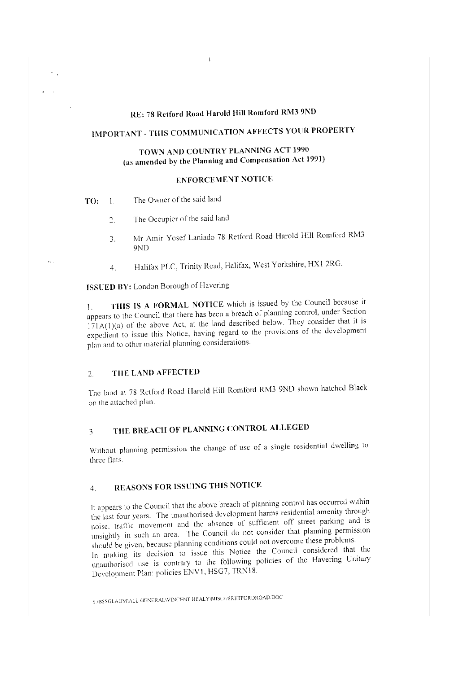## **RE: 78 Retfonl Road Harold Hill Romford RM3 9ND**

 $\mathbf{I}$ 

# **IMPORTANT -THIS COMMUNICATION AFFECTS YOUR PROPERTY**

## **TOWN AND COUNTRY PLANNING ACT 1990 (as amended by the Planning and Compensation Act 1991)**

## **ENFORCEMENT NOTICE**

**TO:** 1. The Owner of the said land

÷,

 $\mathbf{z}_{\text{in}}$ 

- 2. The Occupier of the said land
	- 3. Mr Amir Yosef Laniado 78 Retford Road Harold Hill Romford RM3 9ND
	- Halifax PLC, Trinity Road, Halifax, West Yorkshire, HXl 2RG. 4.

**ISSUED BY:** London Borough of Havering

1. **TlllS IS A FORMAL NOTICE** which is issued by the Council because it appears to the Council that there has been a breach of planning control, under Section  $171A(1)(a)$  of the above Act, at the land described below. They consider that it is expedient to issue this Notice, having regard to the provisions of the development plan and to other material planning considerations.

### 2. **THE LAND AFFECTED**

The land at 78 Retford Road Harold Hill Romford RM3 9ND shown hatched Black on the attached plan.

# 3. **THE BREACH OF PLANNING CONTROL ALLEGED**

\Vithout planning permission the change of use of a single residential dwelling to three flats.

# 4. **REASONS FOR ISSlJING THIS NOTICE**

It appears to the Council that the above breach of planning control has occurred within the last four years. The unauthorised development harms residential amenity through noise. trarflc movement and the absence of sufficient off street parking and is unsightly in such an area. The Council do not consider that planning permission should be given, because planning conditions could not overcome these problems. In making its decision to issue this Notice the Council considered that the unauthorised use is contrary to the following policies of the Havering Unitary Development Plan: policies ENVl, HSG7, TRN18.

S\BSSGLADM\ALL GENERAL\VINCENT HEALY\MISC\78RETFORDROAD.DOC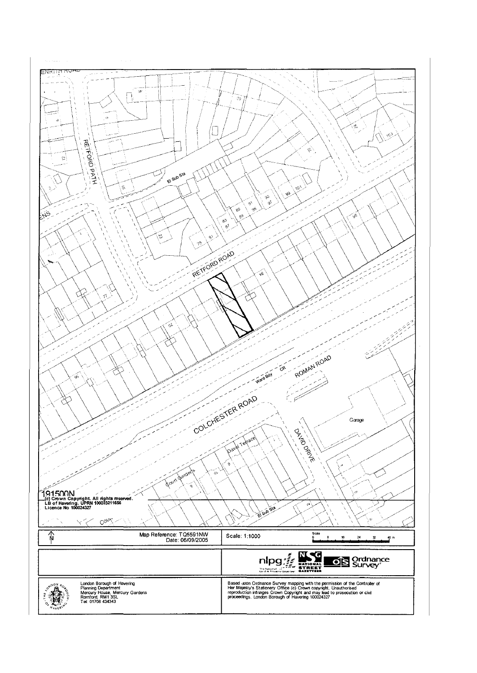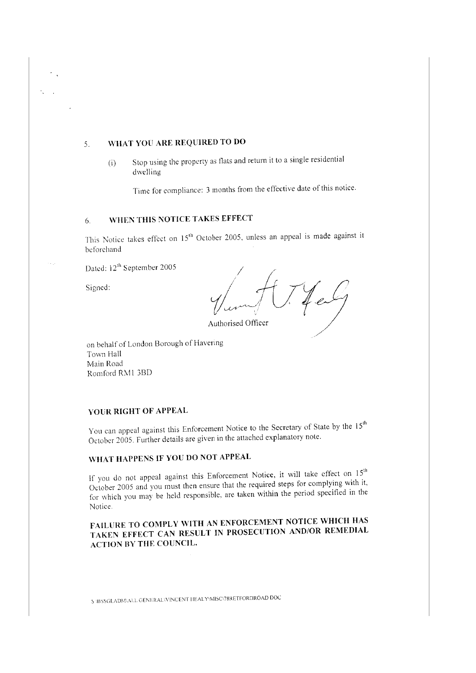## 5. WHAT YOU ARE REQUIRED TO DO

(i) Stop using the property as flats and return it to a single residential dwelling

Time for compliance: 3 months from the effective date of this notice.

# 6. WHEN THIS NOTICE TAKES EFFECT

This Notice takes effect on 15<sup>th</sup> October 2005, unless an appeal is made against it beforehand

Dated: 12<sup>th</sup> September 2005

Signed:

Authorised Officer

on behalf of London Borough of Havering Town Hall Main Road Romford RM1 3BD

### YOUR RIGHT OF APPEAL

You can appeal against this Enforcement Notice to the Secretary of State by the 15<sup>th</sup> October 2005 Further details are given in the attached explanatory note.

# WHAT HAPPENS IF YOU DO NOT APPEAL

If you do not appeal against this Enforcement Notice, it will take effect on  $15<sup>th</sup>$ October 2005 and you must then ensure that the required steps for complying with it, for which you may be held responsible. are taken within the period specified in the Notice

FAILURE TO COMPLY WITH AN ENFORCEMENT NOTICE WHICH HAS TAKEN EFFECT CAN RESULT IN PROSECUTION AND/OR REMEDIAL ACTION BY THE COUNCIL.

~ '.J3':iSCil.A!JJ\1·,,.\lJ. CiENERAL\\'!NCE:"JT IJEALY\MISC\78RETFORDROAD DOC